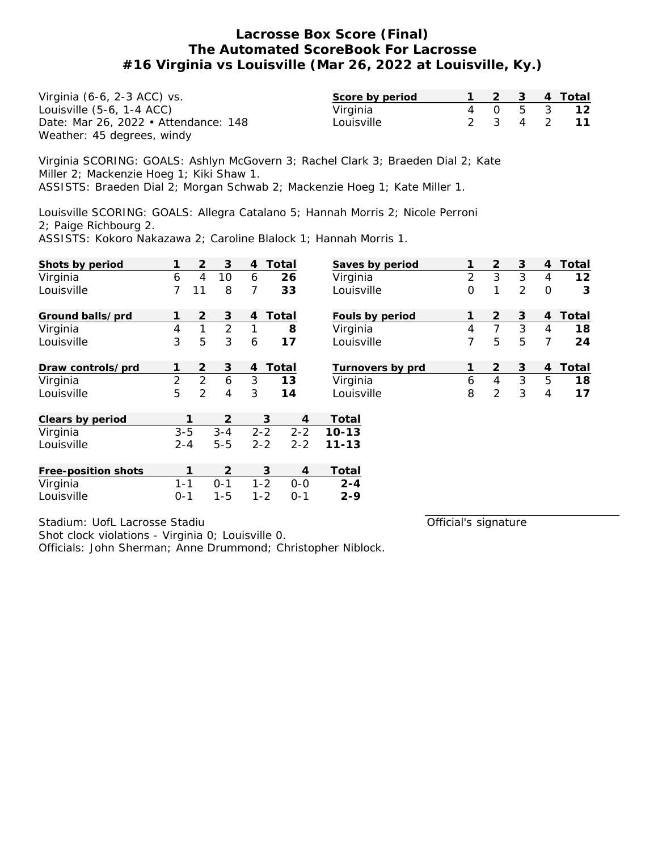| Virginia (6-6, 2-3 ACC) vs.          | Score by period |  |  | 1 2 3 4 Total |
|--------------------------------------|-----------------|--|--|---------------|
| Louisville $(5-6, 1-4$ ACC $)$       | Virginia        |  |  | 4 0 5 3 12    |
| Date: Mar 26, 2022 • Attendance: 148 | Louisville      |  |  | 2 3 4 2 11    |
| Weather: 45 degrees, windy           |                 |  |  |               |

Virginia SCORING: GOALS: Ashlyn McGovern 3; Rachel Clark 3; Braeden Dial 2; Kate Miller 2; Mackenzie Hoeg 1; Kiki Shaw 1. ASSISTS: Braeden Dial 2; Morgan Schwab 2; Mackenzie Hoeg 1; Kate Miller 1.

Louisville SCORING: GOALS: Allegra Catalano 5; Hannah Morris 2; Nicole Perroni 2; Paige Richbourg 2.

ASSISTS: Kokoro Nakazawa 2; Caroline Blalock 1; Hannah Morris 1.

| Shots by period     |                | 2              | 3              | 4       | Total   | Saves by period  | 1              | 2              | 3 | 4              | Total |
|---------------------|----------------|----------------|----------------|---------|---------|------------------|----------------|----------------|---|----------------|-------|
| Virginia            | 6              | $\overline{4}$ | 10             | 6       | 26      | Virginia         | $\overline{2}$ | 3              | 3 | 4              | 12    |
| Louisville          | 7              | 11             | 8              | 7       | 33      | Louisville       | $\mathbf 0$    | 1              | 2 | $\Omega$       | 3     |
| Ground balls/prd    |                | $\overline{2}$ | 3              | 4       | Total   | Fouls by period  | 1              | 2              | 3 | 4              | Total |
| Virginia            | 4              | 1              | $\overline{2}$ |         | 8       | Virginia         | 4              | $\overline{7}$ | 3 | 4              | 18    |
| Louisville          | 3              | 5              | 3              | 6       | 17      | Louisville       | 7              | 5              | 5 | 7              | 24    |
| Draw controls/prd   |                | 2              | 3              | 4       | Total   | Turnovers by prd | 1              | $\overline{2}$ | 3 | $\overline{4}$ | Total |
| Virginia            | $\overline{2}$ | $\overline{2}$ | 6              | 3       | 13      | Virginia         | 6              | $\overline{4}$ | 3 | 5              | 18    |
| Louisville          | 5              | 2              | 4              | 3       | 14      | Louisville       | 8              | $\overline{2}$ | 3 | $\overline{4}$ | 17    |
| Clears by period    |                | 1              | 2              |         | 3       | Total<br>4       |                |                |   |                |       |
| Virginia            | $3 - 5$        |                | $3 - 4$        | $2 - 2$ | $2 - 2$ | $10 - 13$        |                |                |   |                |       |
| Louisville          | $2 - 4$        |                | $5 - 5$        | $2 - 2$ | $2 - 2$ | $11 - 13$        |                |                |   |                |       |
| Free-position shots |                | 1              | 2              |         | 3       | Total<br>4       |                |                |   |                |       |
| Virginia            | $1 - 1$        |                | $0 - 1$        | $1 - 2$ | $0 - 0$ | $2 - 4$          |                |                |   |                |       |
| Louisville          | $0 - 1$        |                | $1 - 5$        | $1 - 2$ | $0 - 1$ | $2 - 9$          |                |                |   |                |       |

Stadium: UofL Lacrosse Stadiu

Shot clock violations - Virginia 0; Louisville 0.

Officials: John Sherman; Anne Drummond; Christopher Niblock.

Official's signature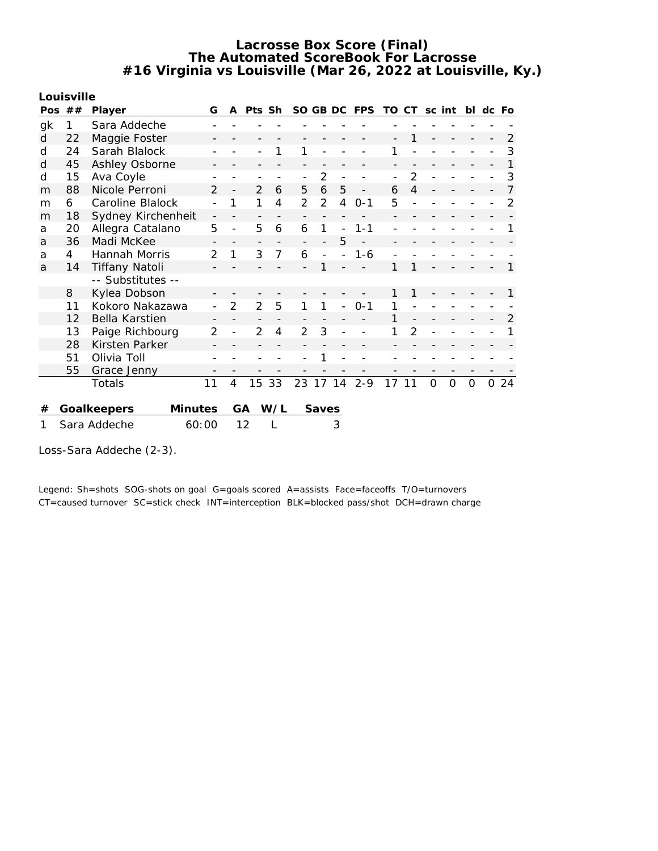**Louisville**

| Pos | ## | Player                 | G              | A              | Pts Sh         |                |                |                |                          | SO GB DC FPS | TO CT |                | sc int   |                | bl             | dc Fo    |                |
|-----|----|------------------------|----------------|----------------|----------------|----------------|----------------|----------------|--------------------------|--------------|-------|----------------|----------|----------------|----------------|----------|----------------|
| gk  | 1  | Sara Addeche           |                |                |                |                |                |                |                          |              |       |                |          |                |                |          |                |
| d   | 22 | Maggie Foster          |                |                |                |                |                |                |                          |              |       |                |          |                |                |          | $\overline{2}$ |
| d   | 24 | Sarah Blalock          |                |                |                |                | 1              |                |                          |              | 1     |                |          |                |                |          | 3              |
| d   | 45 | Ashley Osborne         |                |                |                |                |                |                |                          |              |       |                |          |                |                |          |                |
| d   | 15 | Ava Coyle              |                |                |                |                |                | $\overline{2}$ |                          |              |       | $\overline{2}$ |          |                |                |          | 3              |
| m   | 88 | Nicole Perroni         | $\overline{2}$ |                | $\overline{2}$ | 6              | 5              | 6              | 5                        |              | 6     | 4              |          |                |                |          |                |
| m   | 6  | Caroline Blalock       |                | 1              | 1              | $\overline{4}$ | $\overline{2}$ | 2              | 4                        | $0 - 1$      | 5     |                |          |                |                |          | 2              |
| m   | 18 | Sydney Kirchenheit     |                |                |                |                |                |                |                          |              |       |                |          |                |                |          |                |
| a   | 20 | Allegra Catalano       | 5              |                | 5              | 6              | 6              | 1              | $\overline{a}$           | $1 - 1$      |       |                |          |                |                |          |                |
| a   | 36 | Madi McKee             |                |                |                |                |                |                | 5                        |              |       |                |          |                |                |          |                |
| a   | 4  | Hannah Morris          |                | 1              | 3              | $\overline{7}$ | 6              |                |                          | $1 - 6$      |       |                |          |                |                |          |                |
| a   | 14 | <b>Tiffany Natoli</b>  |                |                |                |                |                |                |                          |              |       | 1              |          |                |                |          |                |
|     |    | -- Substitutes --      |                |                |                |                |                |                |                          |              |       |                |          |                |                |          |                |
|     | 8  | Kylea Dobson           |                |                |                |                |                |                |                          |              |       | 1              |          |                |                |          |                |
|     | 11 | Kokoro Nakazawa        |                | $\overline{2}$ | $\overline{2}$ | 5              | 1              | 1              | $\overline{\phantom{0}}$ | $0 - 1$      |       |                |          |                |                |          |                |
|     | 12 | Bella Karstien         |                |                |                |                |                |                |                          |              |       |                |          |                |                |          | 2              |
|     | 13 | Paige Richbourg        | 2              |                | 2              | 4              | 2              | 3              |                          |              |       | $\overline{2}$ |          |                |                |          |                |
|     | 28 | Kirsten Parker         |                |                |                |                |                |                |                          |              |       |                |          |                |                |          |                |
|     | 51 | Olivia Toll            |                |                |                |                |                | 1              |                          |              |       |                |          |                |                |          |                |
|     | 55 | Grace Jenny            |                |                |                |                |                |                |                          |              |       |                |          |                |                |          |                |
|     |    | Totals                 | 11             | 4              | 15             | 33             | 23             | 17 14          |                          | $2 - 9$      | 17    | 11             | $\Omega$ | $\overline{O}$ | $\overline{O}$ | $\Omega$ | 24             |
|     |    |                        |                |                |                |                |                |                |                          |              |       |                |          |                |                |          |                |
| #   |    | Minutes<br>Goalkeepers |                |                | GA             | W/L            |                | Saves          |                          |              |       |                |          |                |                |          |                |
| 1   |    | 60:00<br>Sara Addeche  |                |                | 12             |                |                |                | 3                        |              |       |                |          |                |                |          |                |

Loss-Sara Addeche (2-3).

Legend: Sh=shots SOG-shots on goal G=goals scored A=assists Face=faceoffs T/O=turnovers CT=caused turnover SC=stick check INT=interception BLK=blocked pass/shot DCH=drawn charge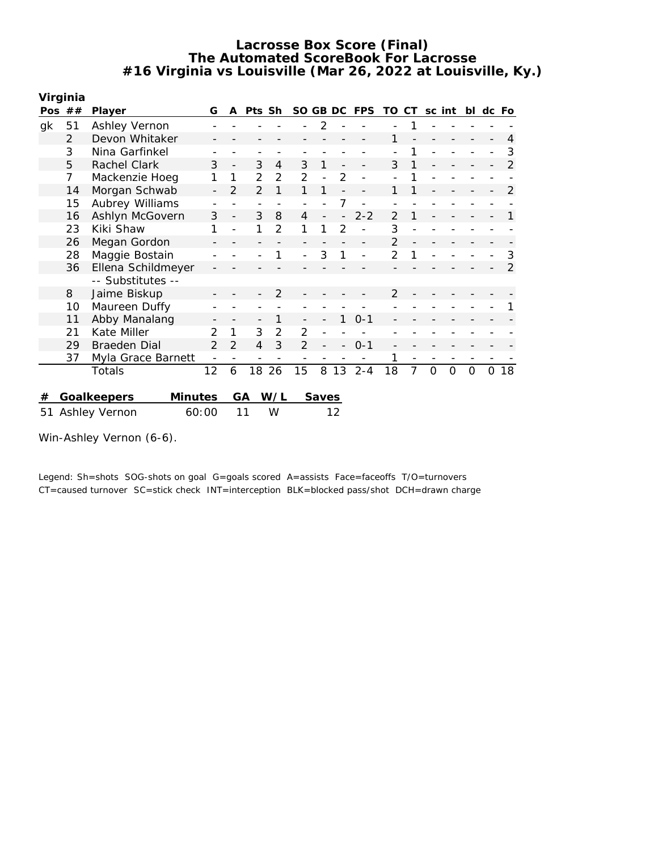|    | Virginia       |                               |                |                |                |                |          |       |    |            |                |                |          |   |    |               |                |
|----|----------------|-------------------------------|----------------|----------------|----------------|----------------|----------|-------|----|------------|----------------|----------------|----------|---|----|---------------|----------------|
|    | Pos $##$       | Player                        | G              | A              | Pts            | <b>Sh</b>      | SO GB DC |       |    | <b>FPS</b> | TO.            | CT.            | sc int   |   | bl | dc            | Fo             |
| gk | 51             | Ashley Vernon                 |                |                |                |                |          | 2     |    |            |                | 1              |          |   |    |               |                |
|    | $\overline{2}$ | Devon Whitaker                |                |                |                |                |          |       |    |            | 1              |                |          |   |    |               | 4              |
|    | 3              | Nina Garfinkel                |                |                |                |                |          |       |    |            |                | 1              |          |   |    |               | 3              |
|    | 5              | Rachel Clark                  | 3              |                | 3              | 4              | 3        | 1     |    |            | 3              | 1              |          |   |    |               | $\overline{2}$ |
|    | 7              | Mackenzie Hoeg                | 1              | 1              | 2              | $\overline{2}$ | 2        |       | 2  |            |                |                |          |   |    |               |                |
|    | 14             | Morgan Schwab                 |                | $\mathcal{P}$  | $\overline{2}$ | 1              | 1        | 1     |    |            | 1              |                |          |   |    |               | $\overline{2}$ |
|    | 15             | Aubrey Williams               |                |                |                |                |          |       |    |            |                |                |          |   |    |               |                |
|    | 16             | Ashlyn McGovern               | 3              |                | 3              | 8              | 4        |       |    | $2 - 2$    | $\mathcal{P}$  | 1              |          |   |    |               | 1              |
|    | 23             | Kiki Shaw                     |                |                | 1              | 2              | 1        |       | 2  |            | 3              |                |          |   |    |               |                |
|    | 26             | Megan Gordon                  |                |                |                |                |          |       |    |            | 2              |                |          |   |    |               |                |
|    | 28             | Maggie Bostain                |                |                |                |                |          | 3     |    |            | $\overline{2}$ |                |          |   |    |               | 3              |
|    | 36             | Ellena Schildmeyer            |                |                |                |                |          |       |    |            |                |                |          |   |    |               | $\overline{2}$ |
|    |                | -- Substitutes --             |                |                |                |                |          |       |    |            |                |                |          |   |    |               |                |
|    | 8              | Jaime Biskup                  |                |                |                | 2              |          |       |    |            | 2              |                |          |   |    |               |                |
|    | 10             | Maureen Duffy                 |                |                |                |                |          |       |    |            |                |                |          |   |    |               |                |
|    | 11             | Abby Manalang                 |                |                |                |                |          |       | 1  | $0 - 1$    |                |                |          |   |    |               |                |
|    | 21             | Kate Miller                   | 2              |                | 3              | 2              | 2        |       |    |            |                |                |          |   |    |               |                |
|    | 29             | <b>Braeden Dial</b>           | $\overline{2}$ | $\overline{2}$ | $\overline{4}$ | 3              | 2        |       |    | $0 - 1$    |                |                |          |   |    |               |                |
|    | 37             | Myla Grace Barnett            |                |                |                |                |          |       |    |            | 1              |                |          |   |    |               |                |
|    |                | Totals                        | 12             | 6              | 18             | 26             | 15       | 8     | 13 | $2 - 4$    | 18             | $\overline{7}$ | $\Omega$ | 0 | 0  | $\mathcal{O}$ | 18             |
|    |                |                               |                |                |                |                |          |       |    |            |                |                |          |   |    |               |                |
| #  |                | Goalkeepers<br><b>Minutes</b> |                |                | GA             | W/L            |          | Saves |    |            |                |                |          |   |    |               |                |
|    |                | 60:00<br>51 Ashley Vernon     |                |                | 11             | W              |          |       | 12 |            |                |                |          |   |    |               |                |

Win-Ashley Vernon (6-6).

Legend: Sh=shots SOG-shots on goal G=goals scored A=assists Face=faceoffs T/O=turnovers CT=caused turnover SC=stick check INT=interception BLK=blocked pass/shot DCH=drawn charge